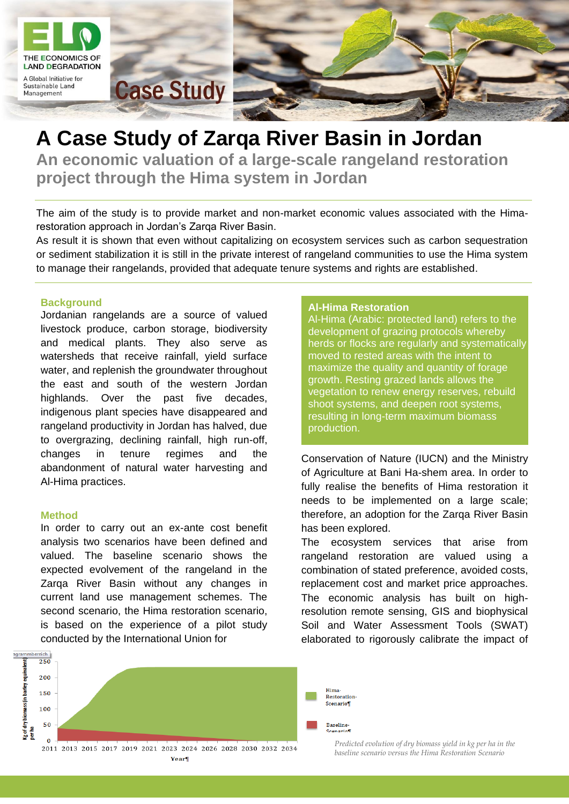

# **A Case Study of Zarqa River Basin in Jordan An economic valuation of a large-scale rangeland restoration project through the Hima system in Jordan**

The aim of the study is to provide market and non-market economic values associated with the Himarestoration approach in Jordan's Zarqa River Basin.

As result it is shown that even without capitalizing on ecosystem services such as carbon sequestration or sediment stabilization it is still in the private interest of rangeland communities to use the Hima system to manage their rangelands, provided that adequate tenure systems and rights are established.

### **Background**

Jordanian rangelands are a source of valued livestock produce, carbon storage, biodiversity and medical plants. They also serve as watersheds that receive rainfall, yield surface water, and replenish the groundwater throughout the east and south of the western Jordan highlands. Over the past five decades, indigenous plant species have disappeared and rangeland productivity in Jordan has halved, due to overgrazing, declining rainfall, high run-off, changes in tenure regimes and the abandonment of natural water harvesting and Al-Hima practices.

#### **Method**

In order to carry out an ex-ante cost benefit analysis two scenarios have been defined and valued. The baseline scenario shows the expected evolvement of the rangeland in the Zarqa River Basin without any changes in current land use management schemes. The second scenario, the Hima restoration scenario, is based on the experience of a pilot study conducted by the International Union for

#### **Al-Hima Restoration**

Al-Hima (Arabic: protected land) refers to the development of grazing protocols whereby herds or flocks are regularly and systematically moved to rested areas with the intent to maximize the quality and quantity of forage growth. Resting grazed lands allows the vegetation to renew energy reserves, rebuild shoot systems, and deepen root systems, resulting in long-term maximum biomass production.

Conservation of Nature (IUCN) and the Ministry of Agriculture at Bani Ha-shem area. In order to fully realise the benefits of Hima restoration it needs to be implemented on a large scale; therefore, an adoption for the Zarqa River Basin has been explored.

The ecosystem services that arise from rangeland restoration are valued using a combination of stated preference, avoided costs, replacement cost and market price approaches. The economic analysis has built on highresolution remote sensing, GIS and biophysical Soil and Water Assessment Tools (SWAT) elaborated to rigorously calibrate the impact of



*L. n r.: Bildbeschreibung hier Predicted evolution of dry biomass yield in kg per ha in the eintragen. Photocredit baseline scenario versus the Hima Restoration Scenario*

**Contractor**